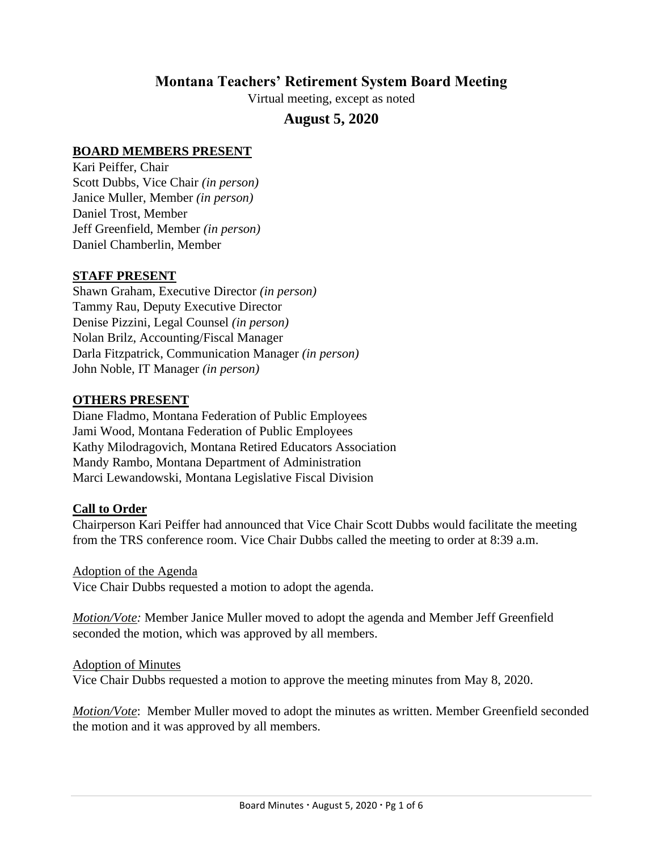# **Montana Teachers' Retirement System Board Meeting**

Virtual meeting, except as noted

# **August 5, 2020**

#### **BOARD MEMBERS PRESENT**

Kari Peiffer, Chair Scott Dubbs, Vice Chair *(in person)* Janice Muller, Member *(in person)* Daniel Trost, Member Jeff Greenfield, Member *(in person)* Daniel Chamberlin, Member

#### **STAFF PRESENT**

Shawn Graham, Executive Director *(in person)* Tammy Rau, Deputy Executive Director Denise Pizzini, Legal Counsel *(in person)* Nolan Brilz, Accounting/Fiscal Manager Darla Fitzpatrick, Communication Manager *(in person)* John Noble, IT Manager *(in person)*

#### **OTHERS PRESENT**

Diane Fladmo, Montana Federation of Public Employees Jami Wood, Montana Federation of Public Employees Kathy Milodragovich, Montana Retired Educators Association Mandy Rambo, Montana Department of Administration Marci Lewandowski, Montana Legislative Fiscal Division

#### **Call to Order**

Chairperson Kari Peiffer had announced that Vice Chair Scott Dubbs would facilitate the meeting from the TRS conference room. Vice Chair Dubbs called the meeting to order at 8:39 a.m.

#### Adoption of the Agenda

Vice Chair Dubbs requested a motion to adopt the agenda.

*Motion/Vote:* Member Janice Muller moved to adopt the agenda and Member Jeff Greenfield seconded the motion, which was approved by all members.

#### Adoption of Minutes

Vice Chair Dubbs requested a motion to approve the meeting minutes from May 8, 2020.

*Motion/Vote*: Member Muller moved to adopt the minutes as written. Member Greenfield seconded the motion and it was approved by all members.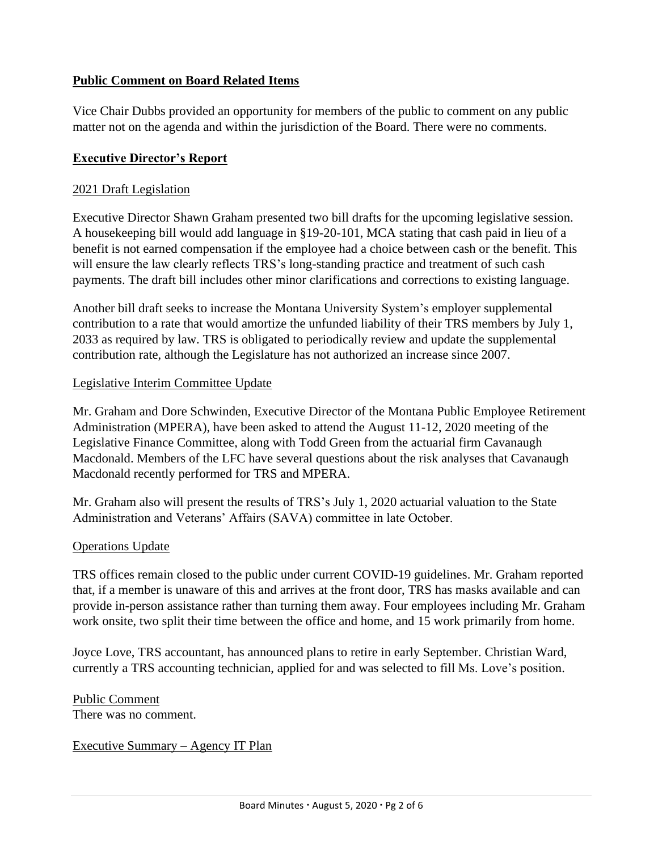## **Public Comment on Board Related Items**

Vice Chair Dubbs provided an opportunity for members of the public to comment on any public matter not on the agenda and within the jurisdiction of the Board. There were no comments.

### **Executive Director's Report**

#### 2021 Draft Legislation

Executive Director Shawn Graham presented two bill drafts for the upcoming legislative session. A housekeeping bill would add language in §19-20-101, MCA stating that cash paid in lieu of a benefit is not earned compensation if the employee had a choice between cash or the benefit. This will ensure the law clearly reflects TRS's long-standing practice and treatment of such cash payments. The draft bill includes other minor clarifications and corrections to existing language.

Another bill draft seeks to increase the Montana University System's employer supplemental contribution to a rate that would amortize the unfunded liability of their TRS members by July 1, 2033 as required by law. TRS is obligated to periodically review and update the supplemental contribution rate, although the Legislature has not authorized an increase since 2007.

#### Legislative Interim Committee Update

Mr. Graham and Dore Schwinden, Executive Director of the Montana Public Employee Retirement Administration (MPERA), have been asked to attend the August 11-12, 2020 meeting of the Legislative Finance Committee, along with Todd Green from the actuarial firm Cavanaugh Macdonald. Members of the LFC have several questions about the risk analyses that Cavanaugh Macdonald recently performed for TRS and MPERA.

Mr. Graham also will present the results of TRS's July 1, 2020 actuarial valuation to the State Administration and Veterans' Affairs (SAVA) committee in late October.

#### Operations Update

TRS offices remain closed to the public under current COVID-19 guidelines. Mr. Graham reported that, if a member is unaware of this and arrives at the front door, TRS has masks available and can provide in-person assistance rather than turning them away. Four employees including Mr. Graham work onsite, two split their time between the office and home, and 15 work primarily from home.

Joyce Love, TRS accountant, has announced plans to retire in early September. Christian Ward, currently a TRS accounting technician, applied for and was selected to fill Ms. Love's position.

#### Public Comment There was no comment.

### Executive Summary – Agency IT Plan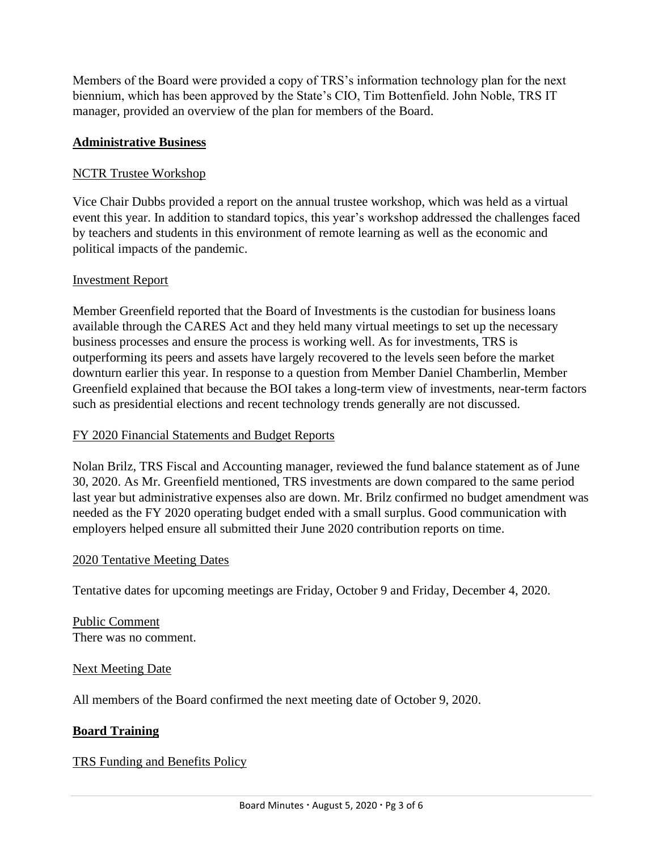Members of the Board were provided a copy of TRS's information technology plan for the next biennium, which has been approved by the State's CIO, Tim Bottenfield. John Noble, TRS IT manager, provided an overview of the plan for members of the Board.

### **Administrative Business**

### NCTR Trustee Workshop

Vice Chair Dubbs provided a report on the annual trustee workshop, which was held as a virtual event this year. In addition to standard topics, this year's workshop addressed the challenges faced by teachers and students in this environment of remote learning as well as the economic and political impacts of the pandemic.

### Investment Report

Member Greenfield reported that the Board of Investments is the custodian for business loans available through the CARES Act and they held many virtual meetings to set up the necessary business processes and ensure the process is working well. As for investments, TRS is outperforming its peers and assets have largely recovered to the levels seen before the market downturn earlier this year. In response to a question from Member Daniel Chamberlin, Member Greenfield explained that because the BOI takes a long-term view of investments, near-term factors such as presidential elections and recent technology trends generally are not discussed.

### FY 2020 Financial Statements and Budget Reports

Nolan Brilz, TRS Fiscal and Accounting manager, reviewed the fund balance statement as of June 30, 2020. As Mr. Greenfield mentioned, TRS investments are down compared to the same period last year but administrative expenses also are down. Mr. Brilz confirmed no budget amendment was needed as the FY 2020 operating budget ended with a small surplus. Good communication with employers helped ensure all submitted their June 2020 contribution reports on time.

### 2020 Tentative Meeting Dates

Tentative dates for upcoming meetings are Friday, October 9 and Friday, December 4, 2020.

Public Comment There was no comment.

### Next Meeting Date

All members of the Board confirmed the next meeting date of October 9, 2020.

# **Board Training**

### TRS Funding and Benefits Policy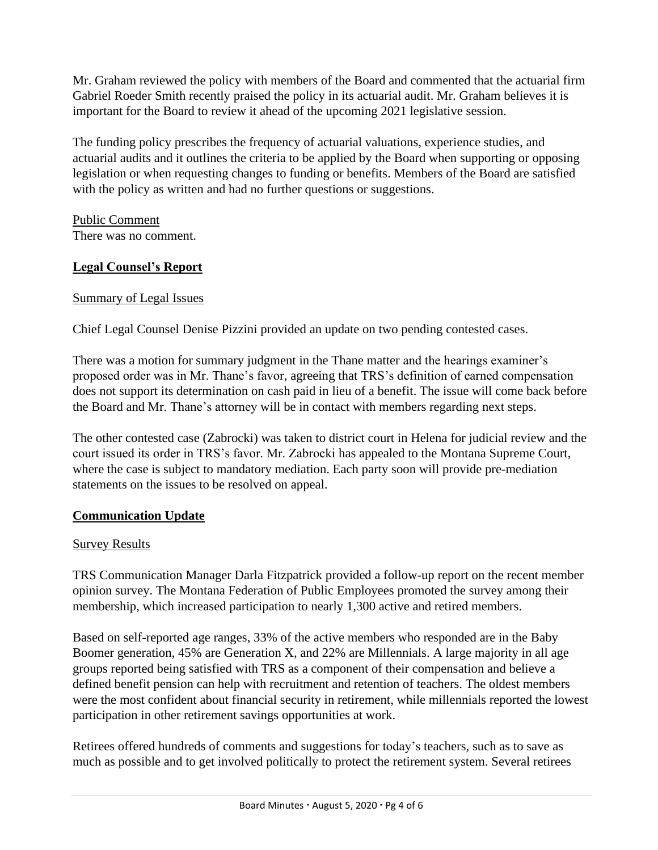Mr. Graham reviewed the policy with members of the Board and commented that the actuarial firm Gabriel Roeder Smith recently praised the policy in its actuarial audit. Mr. Graham believes it is important for the Board to review it ahead of the upcoming 2021 legislative session.

The funding policy prescribes the frequency of actuarial valuations, experience studies, and actuarial audits and it outlines the criteria to be applied by the Board when supporting or opposing legislation or when requesting changes to funding or benefits. Members of the Board are satisfied with the policy as written and had no further questions or suggestions.

Public Comment There was no comment.

## **Legal Counsel's Report**

## Summary of Legal Issues

Chief Legal Counsel Denise Pizzini provided an update on two pending contested cases.

There was a motion for summary judgment in the Thane matter and the hearings examiner's proposed order was in Mr. Thane's favor, agreeing that TRS's definition of earned compensation does not support its determination on cash paid in lieu of a benefit. The issue will come back before the Board and Mr. Thane's attorney will be in contact with members regarding next steps.

The other contested case (Zabrocki) was taken to district court in Helena for judicial review and the court issued its order in TRS's favor. Mr. Zabrocki has appealed to the Montana Supreme Court, where the case is subject to mandatory mediation. Each party soon will provide pre-mediation statements on the issues to be resolved on appeal.

### **Communication Update**

### Survey Results

TRS Communication Manager Darla Fitzpatrick provided a follow-up report on the recent member opinion survey. The Montana Federation of Public Employees promoted the survey among their membership, which increased participation to nearly 1,300 active and retired members.

Based on self-reported age ranges, 33% of the active members who responded are in the Baby Boomer generation, 45% are Generation X, and 22% are Millennials. A large majority in all age groups reported being satisfied with TRS as a component of their compensation and believe a defined benefit pension can help with recruitment and retention of teachers. The oldest members were the most confident about financial security in retirement, while millennials reported the lowest participation in other retirement savings opportunities at work.

Retirees offered hundreds of comments and suggestions for today's teachers, such as to save as much as possible and to get involved politically to protect the retirement system. Several retirees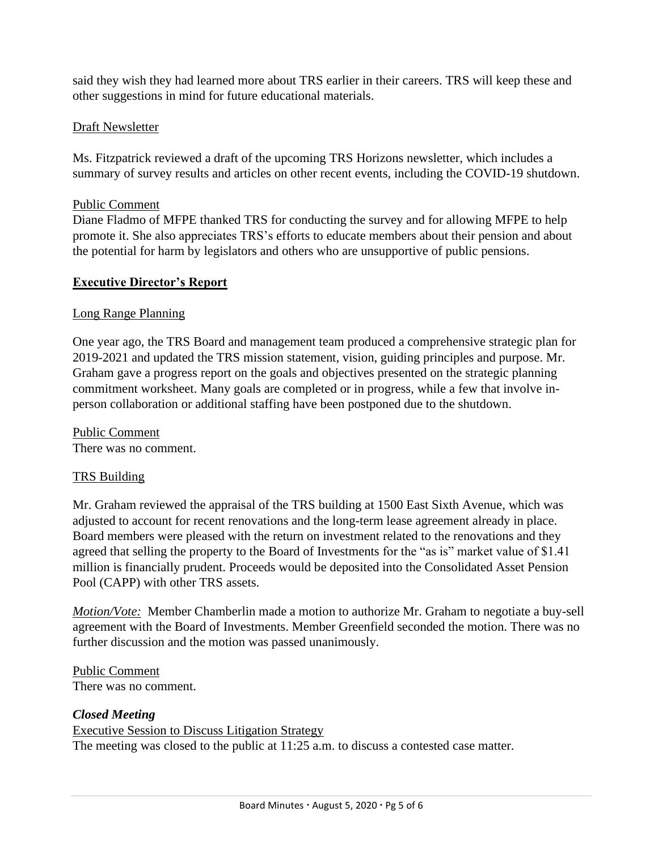said they wish they had learned more about TRS earlier in their careers. TRS will keep these and other suggestions in mind for future educational materials.

### Draft Newsletter

Ms. Fitzpatrick reviewed a draft of the upcoming TRS Horizons newsletter, which includes a summary of survey results and articles on other recent events, including the COVID-19 shutdown.

### Public Comment

Diane Fladmo of MFPE thanked TRS for conducting the survey and for allowing MFPE to help promote it. She also appreciates TRS's efforts to educate members about their pension and about the potential for harm by legislators and others who are unsupportive of public pensions.

## **Executive Director's Report**

### Long Range Planning

One year ago, the TRS Board and management team produced a comprehensive strategic plan for 2019-2021 and updated the TRS mission statement, vision, guiding principles and purpose. Mr. Graham gave a progress report on the goals and objectives presented on the strategic planning commitment worksheet. Many goals are completed or in progress, while a few that involve inperson collaboration or additional staffing have been postponed due to the shutdown.

Public Comment There was no comment.

### TRS Building

Mr. Graham reviewed the appraisal of the TRS building at 1500 East Sixth Avenue, which was adjusted to account for recent renovations and the long-term lease agreement already in place. Board members were pleased with the return on investment related to the renovations and they agreed that selling the property to the Board of Investments for the "as is" market value of \$1.41 million is financially prudent. Proceeds would be deposited into the Consolidated Asset Pension Pool (CAPP) with other TRS assets.

*Motion/Vote:* Member Chamberlin made a motion to authorize Mr. Graham to negotiate a buy-sell agreement with the Board of Investments. Member Greenfield seconded the motion. There was no further discussion and the motion was passed unanimously.

Public Comment There was no comment.

### *Closed Meeting*

Executive Session to Discuss Litigation Strategy The meeting was closed to the public at 11:25 a.m. to discuss a contested case matter.